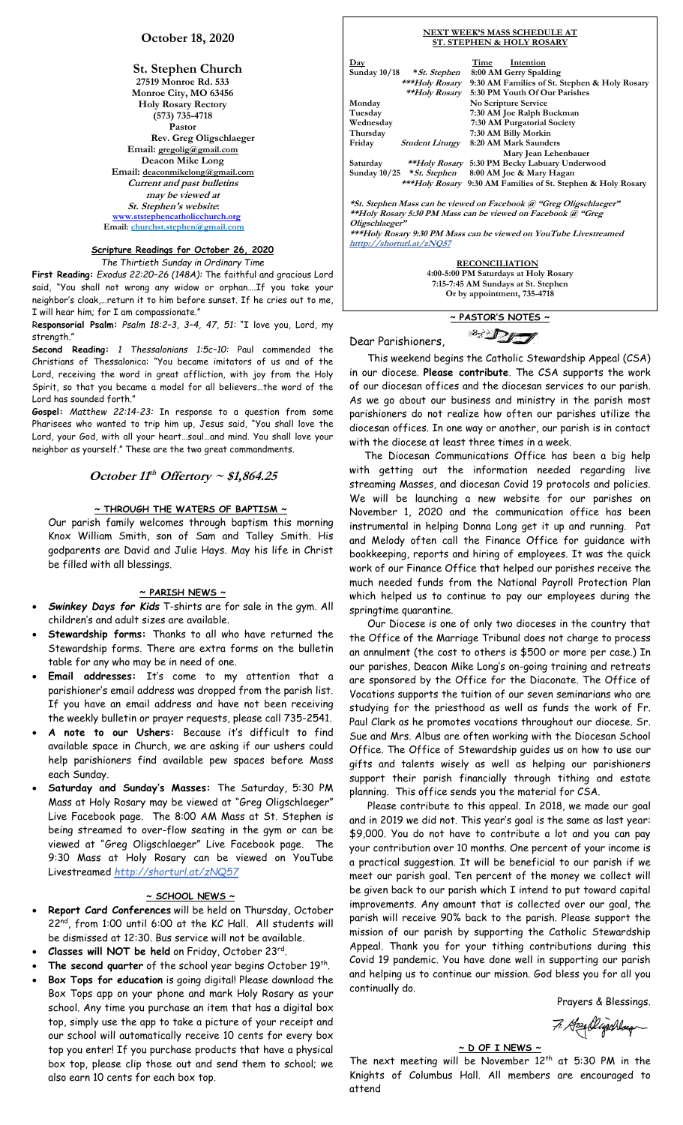# **October 18, 2020**

#### **St. Stephen Church 27519 Monroe Rd. 533 Monroe City, MO 63456 Holy Rosary Rectory (573) 735-4718 Pastor Rev. Greg Oligschlaeger Email: gregolig@gmail.com Deacon Mike Long Email: deaconmikelong@gmail.com Current and past bulletins may be viewed at St. Stephen's website: [www.ststephencatholicchurch.org](http://www.ststephencatholicchurch.org/) Email: [churchst.stephen@gmail.com](mailto:churchst.stephen@gmail.com)**

# **Scripture Readings for October 26, 2020**

*The Thirtieth Sunday in Ordinary Time*

**First Reading:** *Exodus 22:20–26 (148A):* The faithful and gracious Lord said, "You shall not wrong any widow or orphan….If you take your neighbor's cloak,…return it to him before sunset. If he cries out to me, I will hear him; for I am compassionate."

R**esponsorial Psalm:** *Psalm 18:2–3, 3–4, 47, 51:* "I love you, Lord, my strength."

**Second Reading:** *1 Thessalonians 1:5c–10:* Paul commended the Christians of Thessalonica: "You became imitators of us and of the Lord, receiving the word in great affliction, with joy from the Holy Spirit, so that you became a model for all believers…the word of the Lord has sounded forth."

**Gospel:** *Matthew 22:14-23:* In response to a question from some Pharisees who wanted to trip him up, Jesus said, "You shall love the Lord, your God, with all your heart…soul…and mind. You shall love your neighbor as yourself." These are the two great commandments.

**October 11 th Offertory ~ \$1,864.25**

#### **~ THROUGH THE WATERS OF BAPTISM ~**

Our parish family welcomes through baptism this morning Knox William Smith, son of Sam and Talley Smith. His godparents are David and Julie Hays. May his life in Christ be filled with all blessings.

### **~ PARISH NEWS ~**

- *Swinkey Days for Kids* T-shirts are for sale in the gym. All children's and adult sizes are available.
- **Stewardship forms:** Thanks to all who have returned the Stewardship forms. There are extra forms on the bulletin table for any who may be in need of one.
- **Email addresses:** It's come to my attention that a parishioner's email address was dropped from the parish list. If you have an email address and have not been receiving the weekly bulletin or prayer requests, please call 735-2541.
- **A note to our Ushers:** Because it's difficult to find available space in Church, we are asking if our ushers could help parishioners find available pew spaces before Mass each Sunday.
- **Saturday and Sunday's Masses:** The Saturday, 5:30 PM Mass at Holy Rosary may be viewed at "Greg Oligschlaeger" Live Facebook page. The 8:00 AM Mass at St. Stephen is being streamed to over-flow seating in the gym or can be viewed at "Greg Oligschlaeger" Live Facebook page. The 9:30 Mass at Holy Rosary can be viewed on YouTube Livestreamed *http://shorturl.at/zNQ57*

## **~ SCHOOL NEWS ~**

- **Report Card Conferences** will be held on Thursday, October 22<sup>nd</sup>, from 1:00 until 6:00 at the KC Hall. All students will be dismissed at 12:30. Bus service will not be available.
- **Classes will NOT be held** on Friday, October 23rd .
- The second quarter of the school year begins October 19th.
- **Box Tops for education** is going digital! Please download the Box Tops app on your phone and mark Holy Rosary as your school. Any time you purchase an item that has a digital box top, simply use the app to take a picture of your receipt and our school will automatically receive 10 cents for every box top you enter! If you purchase products that have a physical box top, please clip those out and send them to school; we also earn 10 cents for each box top.

#### **NEXT WEEK'S MASS SCHEDULE AT ST. STEPHEN & HOLY ROSARY Day Time Intention Sunday 10/18 \*St. Stephen 8:00 AM Gerry Spalding \*\*\*Holy Rosary 9:30 AM Families of St. Stephen & Holy Rosary \*\*Holy Rosary 5:30 PM Youth Of Our Parishes** Monday **No Scripture Service**<br>Tuesday 7:30 AM Joe Ralph B **Tuesday 7:30 AM Joe Ralph Buckman Wednesday 7:30 AM Purgatorial Society Thursday 7:30 AM Billy Morkin Friday Student Liturgy 8:20 AM Mark Saunders Mary Jean Lehenbauer**

**Saturday \*\*Holy Rosary 5:30 PM Becky Labuary Underwood Sunday 10/25 \*St. Stephen \*\*\*Holy Rosary 9:30 AM Families of St. Stephen & Holy Rosary**

**\*St. Stephen Mass can be viewed on Facebook @ "Greg Oligschlaeger" \*\*Holy Rosary 5:30 PM Mass can be viewed on Facebook @ "Greg Oligschlaeger" \*\*\*Holy Rosary 9:30 PM Mass can be viewed on YouTube Livestreamed**

**htttp://shorturl.at/zNQ57** 

 **RECONCILIATION 4:00-5:00 PM Saturdays at Holy Rosary 7:15-7:45 AM Sundays at St. Stephen Or by appointment, 735-4718**

> **~ PASTOR'S NOTES ~** <sup>2</sup> DI

Dear Parishioners,

 This weekend begins the Catholic Stewardship Appeal (CSA) in our diocese. **Please contribute**. The CSA supports the work of our diocesan offices and the diocesan services to our parish. As we go about our business and ministry in the parish most parishioners do not realize how often our parishes utilize the diocesan offices. In one way or another, our parish is in contact with the diocese at least three times in a week.

 The Diocesan Communications Office has been a big help with getting out the information needed regarding live streaming Masses, and diocesan Covid 19 protocols and policies. We will be launching a new website for our parishes on November 1, 2020 and the communication office has been instrumental in helping Donna Long get it up and running. Pat and Melody often call the Finance Office for guidance with bookkeeping, reports and hiring of employees. It was the quick work of our Finance Office that helped our parishes receive the much needed funds from the National Payroll Protection Plan which helped us to continue to pay our employees during the springtime quarantine.

 Our Diocese is one of only two dioceses in the country that the Office of the Marriage Tribunal does not charge to process an annulment (the cost to others is \$500 or more per case.) In our parishes, Deacon Mike Long's on-going training and retreats are sponsored by the Office for the Diaconate. The Office of Vocations supports the tuition of our seven seminarians who are studying for the priesthood as well as funds the work of Fr. Paul Clark as he promotes vocations throughout our diocese. Sr. Sue and Mrs. Albus are often working with the Diocesan School Office. The Office of Stewardship guides us on how to use our gifts and talents wisely as well as helping our parishioners support their parish financially through tithing and estate planning. This office sends you the material for CSA.

 Please contribute to this appeal. In 2018, we made our goal and in 2019 we did not. This year's goal is the same as last year: \$9,000. You do not have to contribute a lot and you can pay your contribution over 10 months. One percent of your income is a practical suggestion. It will be beneficial to our parish if we meet our parish goal. Ten percent of the money we collect will be given back to our parish which I intend to put toward capital improvements. Any amount that is collected over our goal, the parish will receive 90% back to the parish. Please support the mission of our parish by supporting the Catholic Stewardship Appeal. Thank you for your tithing contributions during this Covid 19 pandemic. You have done well in supporting our parish and helping us to continue our mission. God bless you for all you continually do.

Prayers & Blessings.

7. Headlijschlaug

# **~ D OF I NEWS ~**

The next meeting will be November  $12^{th}$  at 5:30 PM in the Knights of Columbus Hall. All members are encouraged to attend